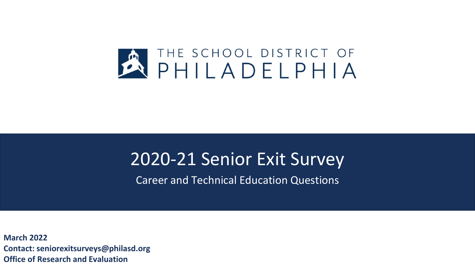

### 2020-21 Senior Exit Survey

Career and Technical Education Questions

**Office of Research and Evaluation March 2022 Contact: seniorexitsurveys@philasd.org**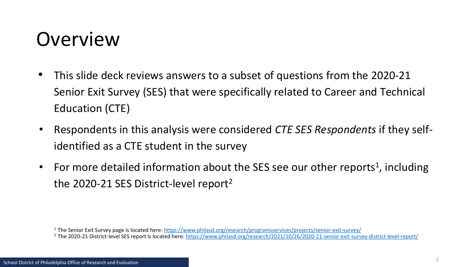## Overview

- This slide deck reviews answers to a subset of questions from the 2020-21 Senior Exit Survey (SES) that were specifically related to Career and Technical Education (CTE)
- Respondents in this analysis were considered *CTE SES Respondents* if they selfidentified as a CTE student in the survey
- For more detailed information about the SES see our other reports<sup>1</sup>, including the 2020-21 SES District-level report<sup>2</sup>

<sup>&</sup>lt;sup>1</sup> The Senior Exit Survey page is located here:<https://www.philasd.org/research/programsservices/projects/senior-exit-survey/>

<sup>&</sup>lt;sup>2</sup> The 2020-21 District-level SES report is located here: <https://www.philasd.org/research/2021/10/26/2020-21-senior-exit-survey-district-level-report/>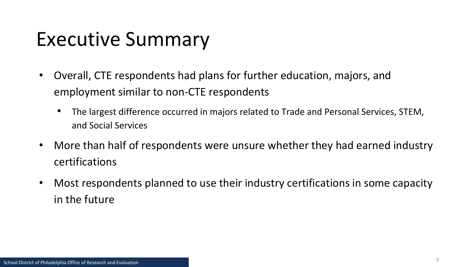# Executive Summary

- Overall, CTE respondents had plans for further education, majors, and employment similar to non-CTE respondents
	- The largest difference occurred in majors related to Trade and Personal Services, STEM, and Social Services
- More than half of respondents were unsure whether they had earned industry certifications
- Most respondents planned to use their industry certifications in some capacity in the future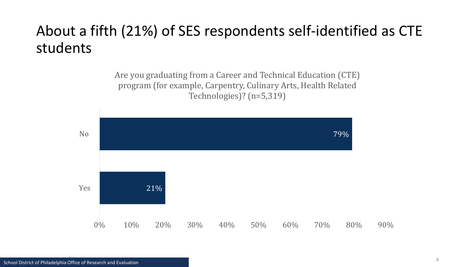#### About a fifth (21%) of SES respondents self-identified as CTE students

Are you graduating from a Career and Technical Education (CTE) program (for example, Carpentry, Culinary Arts, Health Related Technologies)? (n=5,319)

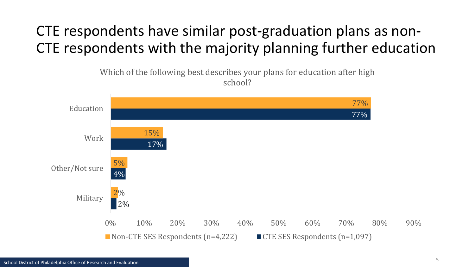#### CTE respondents have similar post-graduation plans as non-CTE respondents with the majority planning further education

Which of the following best describes your plans for education after high school?

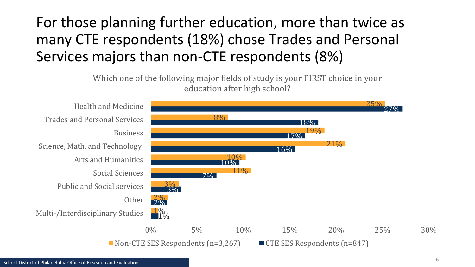#### For those planning further education, more than twice as many CTE respondents (18%) chose Trades and Personal Services majors than non-CTE respondents (8%)

Which one of the following major fields of study is your FIRST choice in your education after high school?

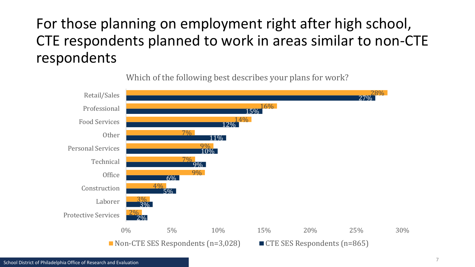#### For those planning on employment right after high school, CTE respondents planned to work in areas similar to non-CTE respondents

Which of the following best describes your plans for work?

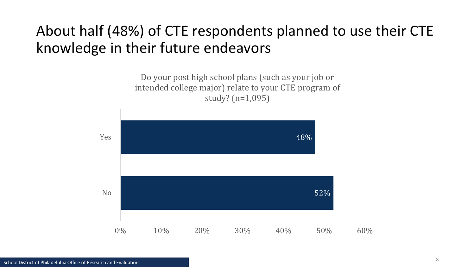#### About half (48%) of CTE respondents planned to use their CTE knowledge in their future endeavors

Do your post high school plans (such as your job or intended college major) relate to your CTE program of study? (n=1,095)

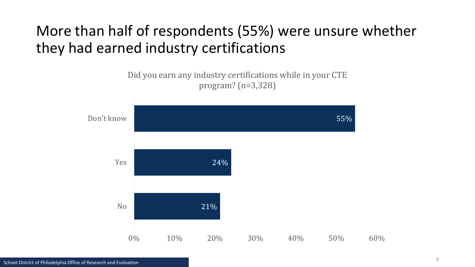#### More than half of respondents (55%) were unsure whether they had earned industry certifications

21% 24% 55% 0% 10% 20% 30% 40% 50% 60% No Yes Don't know Did you earn any industry certifications while in your CTE program? (n=3,328)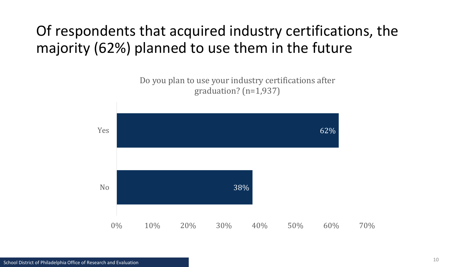#### Of respondents that acquired industry certifications, the majority (62%) planned to use them in the future

Do you plan to use your industry certifications after graduation? (n=1,937)

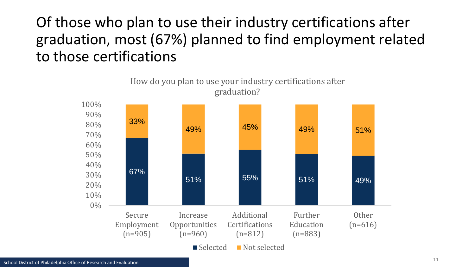#### Of those who plan to use their industry certifications after graduation, most (67%) planned to find employment related to those certifications

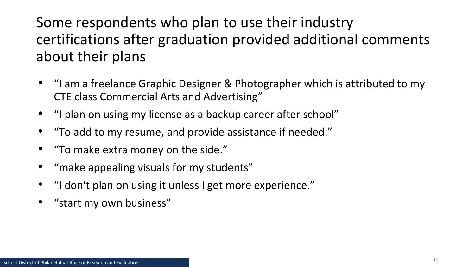Some respondents who plan to use their industry certifications after graduation provided additional comments about their plans

- "I am a freelance Graphic Designer & Photographer which is attributed to my CTE class Commercial Arts and Advertising"
- "I plan on using my license as a backup career after school"
- "To add to my resume, and provide assistance if needed."
- "To make extra money on the side."
- "make appealing visuals for my students"
- "I don't plan on using it unless I get more experience."
- "start my own business"